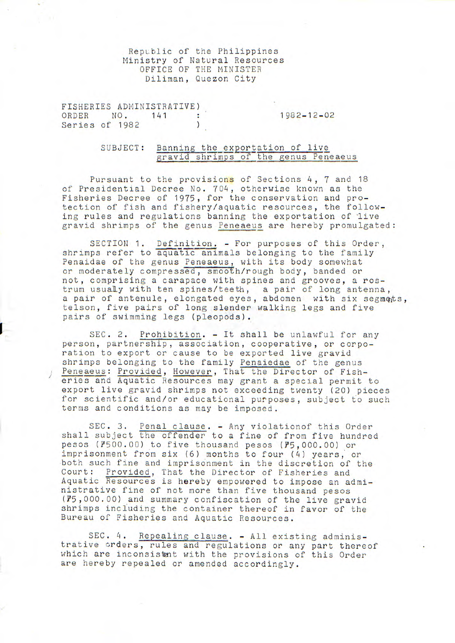Republic of the Philippines Ministry of Natural Resources OFFICE OF THE MINISTER Diliman, Quezon City

FISHERIES ADMINISTRATIVE) ORDER NO. 141 : 1982-12-02 Series of 1982  $\lambda$ 

> SUBJECT: Banning the exportation of live gravid shrimps of the genus Peneaeus

Pursuant to the provisions of Sections 4, 7 and 18 of Presidential Decree No. 704, otherwise known as the Fisheries Decree of 1975, for the conservation and protection of fish and fishery/aquatic resources, the following rules and regulations banning the exportation of live gravid shrimps of the genus Peneaeus are hereby promulgated:

SECTION 1. Definition. - For purposes of this Order, shrimps refer to aquatic animals belonging to the family Penaidae of the genus Peneaeus, with its body somewhat or moderately compressed, smooth/rough body, banded or not, comprising a carapace with spines and grooves, a rostrum usualy with ten spines/teeth, a pair of long antenna, a pair of antenule, elongated eyes, abdomen with six segments, telson, five pairs of long slender walking legs and five pairs of swimming legs (pleopods).

SEC. 2. Prohibition. - It shall be unlawful for any person, partnership, association, cooperative, or corporation to export or cause to be exported live gravid shrimps belonging to the family Penaiedae of the genus Peneaeus: Provided, However, That the Director of Fisheries and Aquatic Resources may grant a special permit to export live gravid shrimps not exceeding twenty (20) pieces for scientific and/or educational purposes, subject to such terms and conditions as may be imposed.

SEC. 3. Penal clause. - Any violationof this Order shall subject the offender to a fine of from five hundred pesos (P500.00) to five thousand pesos (P5,000.00) or imprisonment from six (6) months to four (4) years, or both such fine and imprisonment in the discretion of the Court: Provided, That the Director of Fisheries and Aquatic Resources is hereby empowered to impose an administrative fine of not more than five thousand pesos (?5,000.00) and summary confiscation of the live gravid shrimps including the container thereof in favor of the Bureau of Fisheries and Aquatic Resources.

SEC. 4. Repealing clause. - All existing administrative orders, rules and regulations or any part thereof which are inconsistent with the provisions of this Order are hereby repealed or amended accordingly.